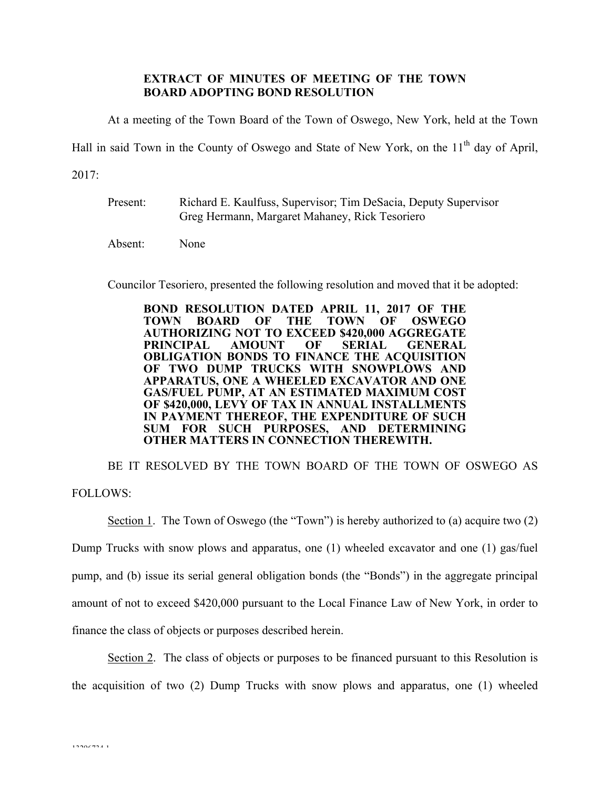## **EXTRACT OF MINUTES OF MEETING OF THE TOWN BOARD ADOPTING BOND RESOLUTION**

At a meeting of the Town Board of the Town of Oswego, New York, held at the Town

Hall in said Town in the County of Oswego and State of New York, on the  $11<sup>th</sup>$  day of April,

2017:

Present: Richard E. Kaulfuss, Supervisor; Tim DeSacia, Deputy Supervisor Greg Hermann, Margaret Mahaney, Rick Tesoriero

Absent: None

Councilor Tesoriero, presented the following resolution and moved that it be adopted:

**BOND RESOLUTION DATED APRIL 11, 2017 OF THE TOWN BOARD OF THE TOWN OF OSWEGO AUTHORIZING NOT TO EXCEED \$420,000 AGGREGATE PRINCIPAL AMOUNT OF SERIAL GENERAL OBLIGATION BONDS TO FINANCE THE ACQUISITION OF TWO DUMP TRUCKS WITH SNOWPLOWS AND APPARATUS, ONE A WHEELED EXCAVATOR AND ONE GAS/FUEL PUMP, AT AN ESTIMATED MAXIMUM COST OF \$420,000, LEVY OF TAX IN ANNUAL INSTALLMENTS IN PAYMENT THEREOF, THE EXPENDITURE OF SUCH SUM FOR SUCH PURPOSES, AND DETERMINING OTHER MATTERS IN CONNECTION THEREWITH.**

BE IT RESOLVED BY THE TOWN BOARD OF THE TOWN OF OSWEGO AS FOLLOWS:

Section 1. The Town of Oswego (the "Town") is hereby authorized to (a) acquire two (2) Dump Trucks with snow plows and apparatus, one (1) wheeled excavator and one (1) gas/fuel pump, and (b) issue its serial general obligation bonds (the "Bonds") in the aggregate principal amount of not to exceed \$420,000 pursuant to the Local Finance Law of New York, in order to finance the class of objects or purposes described herein.

Section 2. The class of objects or purposes to be financed pursuant to this Resolution is the acquisition of two (2) Dump Trucks with snow plows and apparatus, one (1) wheeled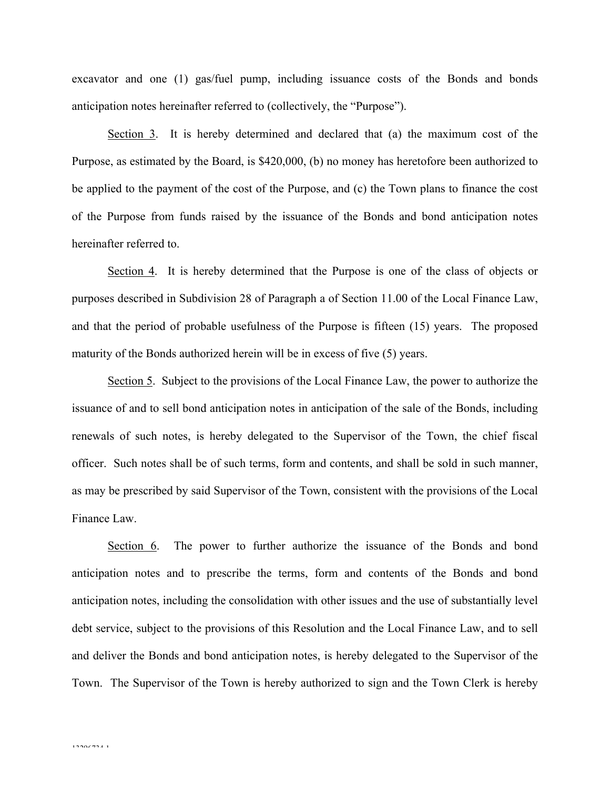excavator and one (1) gas/fuel pump, including issuance costs of the Bonds and bonds anticipation notes hereinafter referred to (collectively, the "Purpose").

Section 3. It is hereby determined and declared that (a) the maximum cost of the Purpose, as estimated by the Board, is \$420,000, (b) no money has heretofore been authorized to be applied to the payment of the cost of the Purpose, and (c) the Town plans to finance the cost of the Purpose from funds raised by the issuance of the Bonds and bond anticipation notes hereinafter referred to.

Section 4. It is hereby determined that the Purpose is one of the class of objects or purposes described in Subdivision 28 of Paragraph a of Section 11.00 of the Local Finance Law, and that the period of probable usefulness of the Purpose is fifteen (15) years. The proposed maturity of the Bonds authorized herein will be in excess of five (5) years.

Section 5. Subject to the provisions of the Local Finance Law, the power to authorize the issuance of and to sell bond anticipation notes in anticipation of the sale of the Bonds, including renewals of such notes, is hereby delegated to the Supervisor of the Town, the chief fiscal officer. Such notes shall be of such terms, form and contents, and shall be sold in such manner, as may be prescribed by said Supervisor of the Town, consistent with the provisions of the Local Finance Law.

Section 6. The power to further authorize the issuance of the Bonds and bond anticipation notes and to prescribe the terms, form and contents of the Bonds and bond anticipation notes, including the consolidation with other issues and the use of substantially level debt service, subject to the provisions of this Resolution and the Local Finance Law, and to sell and deliver the Bonds and bond anticipation notes, is hereby delegated to the Supervisor of the Town. The Supervisor of the Town is hereby authorized to sign and the Town Clerk is hereby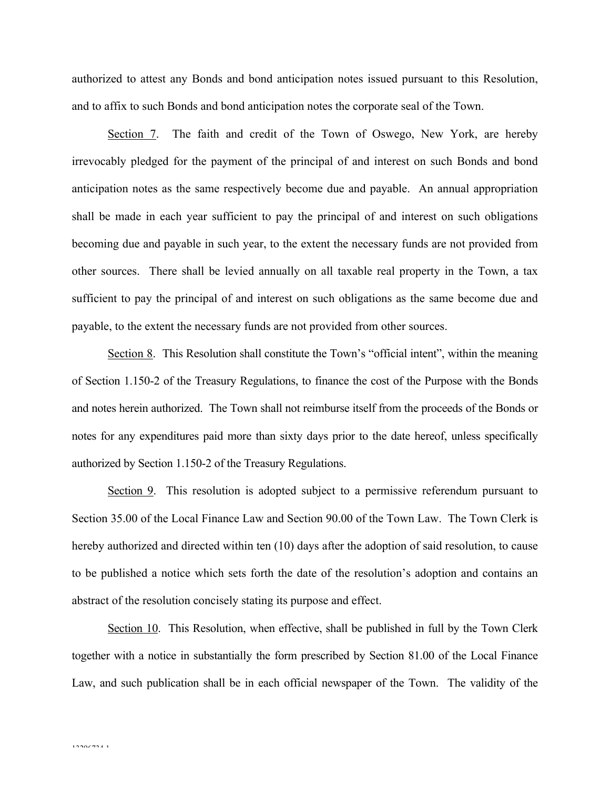authorized to attest any Bonds and bond anticipation notes issued pursuant to this Resolution, and to affix to such Bonds and bond anticipation notes the corporate seal of the Town.

Section 7. The faith and credit of the Town of Oswego, New York, are hereby irrevocably pledged for the payment of the principal of and interest on such Bonds and bond anticipation notes as the same respectively become due and payable. An annual appropriation shall be made in each year sufficient to pay the principal of and interest on such obligations becoming due and payable in such year, to the extent the necessary funds are not provided from other sources. There shall be levied annually on all taxable real property in the Town, a tax sufficient to pay the principal of and interest on such obligations as the same become due and payable, to the extent the necessary funds are not provided from other sources.

Section 8. This Resolution shall constitute the Town's "official intent", within the meaning of Section 1.150-2 of the Treasury Regulations, to finance the cost of the Purpose with the Bonds and notes herein authorized. The Town shall not reimburse itself from the proceeds of the Bonds or notes for any expenditures paid more than sixty days prior to the date hereof, unless specifically authorized by Section 1.150-2 of the Treasury Regulations.

Section 9. This resolution is adopted subject to a permissive referendum pursuant to Section 35.00 of the Local Finance Law and Section 90.00 of the Town Law. The Town Clerk is hereby authorized and directed within ten (10) days after the adoption of said resolution, to cause to be published a notice which sets forth the date of the resolution's adoption and contains an abstract of the resolution concisely stating its purpose and effect.

Section 10. This Resolution, when effective, shall be published in full by the Town Clerk together with a notice in substantially the form prescribed by Section 81.00 of the Local Finance Law, and such publication shall be in each official newspaper of the Town. The validity of the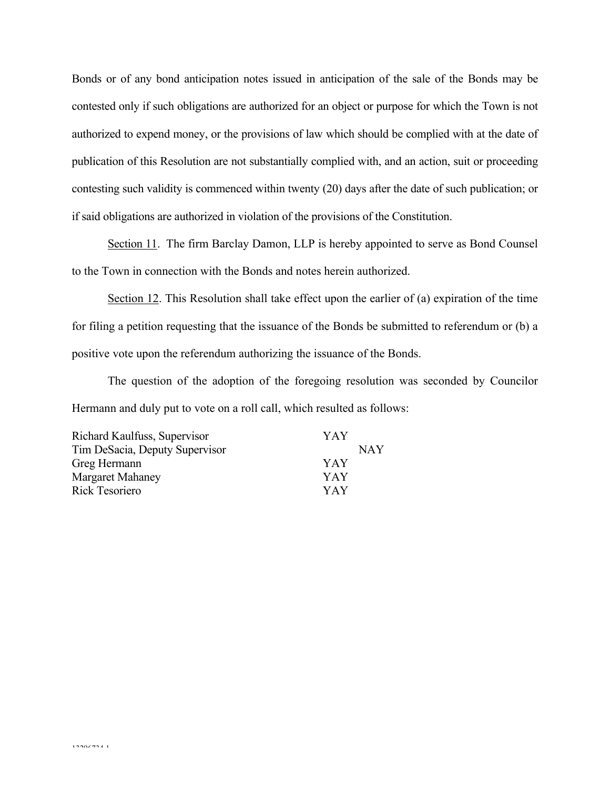Bonds or of any bond anticipation notes issued in anticipation of the sale of the Bonds may be contested only if such obligations are authorized for an object or purpose for which the Town is not authorized to expend money, or the provisions of law which should be complied with at the date of publication of this Resolution are not substantially complied with, and an action, suit or proceeding contesting such validity is commenced within twenty (20) days after the date of such publication; or if said obligations are authorized in violation of the provisions of the Constitution.

Section 11. The firm Barclay Damon, LLP is hereby appointed to serve as Bond Counsel to the Town in connection with the Bonds and notes herein authorized.

Section 12. This Resolution shall take effect upon the earlier of (a) expiration of the time for filing a petition requesting that the issuance of the Bonds be submitted to referendum or (b) a positive vote upon the referendum authorizing the issuance of the Bonds.

The question of the adoption of the foregoing resolution was seconded by Councilor Hermann and duly put to vote on a roll call, which resulted as follows:

| Richard Kaulfuss, Supervisor   | YAY |
|--------------------------------|-----|
| Tim DeSacia, Deputy Supervisor | NAY |
| Greg Hermann                   | YAY |
| <b>Margaret Mahaney</b>        | YAY |
| <b>Rick Tesoriero</b>          | YAY |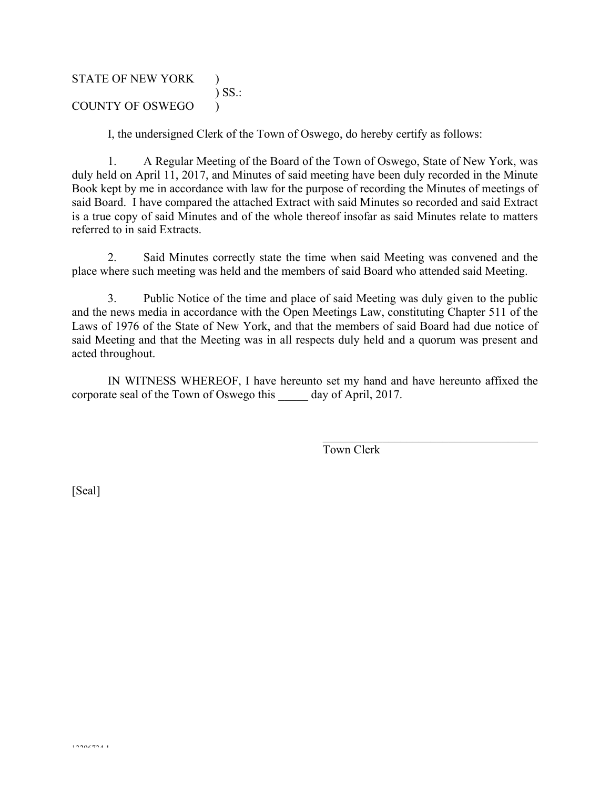# STATE OF NEW YORK ) ) SS.: COUNTY OF OSWEGO )

I, the undersigned Clerk of the Town of Oswego, do hereby certify as follows:

1. A Regular Meeting of the Board of the Town of Oswego, State of New York, was duly held on April 11, 2017, and Minutes of said meeting have been duly recorded in the Minute Book kept by me in accordance with law for the purpose of recording the Minutes of meetings of said Board. I have compared the attached Extract with said Minutes so recorded and said Extract is a true copy of said Minutes and of the whole thereof insofar as said Minutes relate to matters referred to in said Extracts.

2. Said Minutes correctly state the time when said Meeting was convened and the place where such meeting was held and the members of said Board who attended said Meeting.

3. Public Notice of the time and place of said Meeting was duly given to the public and the news media in accordance with the Open Meetings Law, constituting Chapter 511 of the Laws of 1976 of the State of New York, and that the members of said Board had due notice of said Meeting and that the Meeting was in all respects duly held and a quorum was present and acted throughout.

IN WITNESS WHEREOF, I have hereunto set my hand and have hereunto affixed the corporate seal of the Town of Oswego this day of April, 2017.

Town Clerk

 $\mathcal{L}_\text{max}$  , and the set of the set of the set of the set of the set of the set of the set of the set of the set of the set of the set of the set of the set of the set of the set of the set of the set of the set of the

[Seal]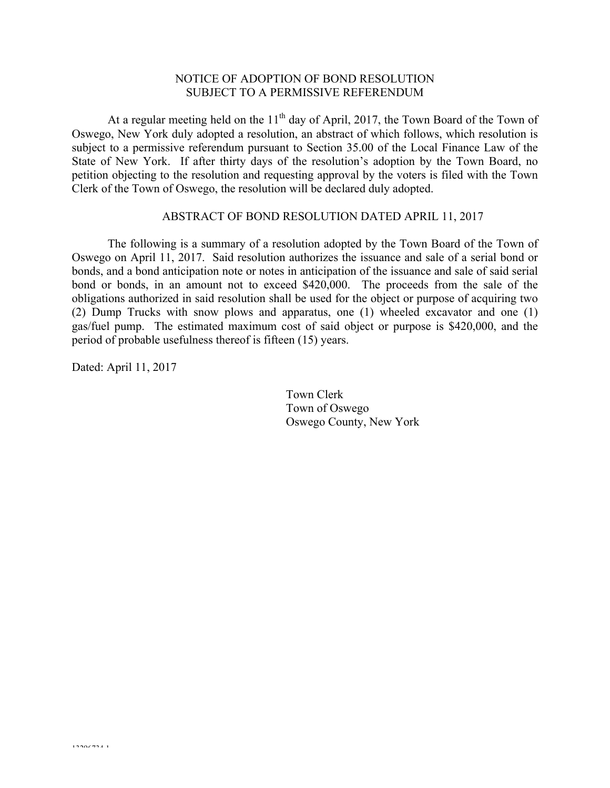#### NOTICE OF ADOPTION OF BOND RESOLUTION SUBJECT TO A PERMISSIVE REFERENDUM

At a regular meeting held on the  $11<sup>th</sup>$  day of April, 2017, the Town Board of the Town of Oswego, New York duly adopted a resolution, an abstract of which follows, which resolution is subject to a permissive referendum pursuant to Section 35.00 of the Local Finance Law of the State of New York. If after thirty days of the resolution's adoption by the Town Board, no petition objecting to the resolution and requesting approval by the voters is filed with the Town Clerk of the Town of Oswego, the resolution will be declared duly adopted.

## ABSTRACT OF BOND RESOLUTION DATED APRIL 11, 2017

The following is a summary of a resolution adopted by the Town Board of the Town of Oswego on April 11, 2017. Said resolution authorizes the issuance and sale of a serial bond or bonds, and a bond anticipation note or notes in anticipation of the issuance and sale of said serial bond or bonds, in an amount not to exceed \$420,000. The proceeds from the sale of the obligations authorized in said resolution shall be used for the object or purpose of acquiring two (2) Dump Trucks with snow plows and apparatus, one (1) wheeled excavator and one (1) gas/fuel pump. The estimated maximum cost of said object or purpose is \$420,000, and the period of probable usefulness thereof is fifteen (15) years.

Dated: April 11, 2017

Town Clerk Town of Oswego Oswego County, New York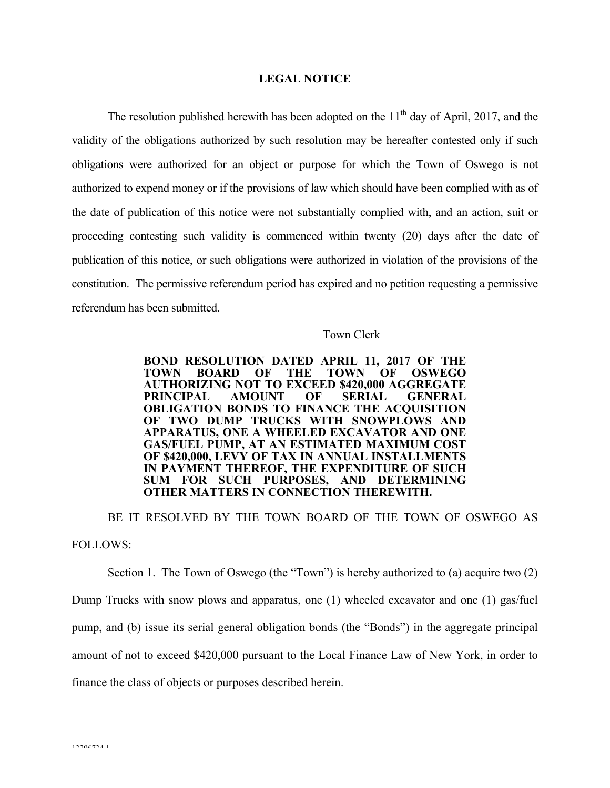#### **LEGAL NOTICE**

The resolution published herewith has been adopted on the  $11<sup>th</sup>$  day of April, 2017, and the validity of the obligations authorized by such resolution may be hereafter contested only if such obligations were authorized for an object or purpose for which the Town of Oswego is not authorized to expend money or if the provisions of law which should have been complied with as of the date of publication of this notice were not substantially complied with, and an action, suit or proceeding contesting such validity is commenced within twenty (20) days after the date of publication of this notice, or such obligations were authorized in violation of the provisions of the constitution. The permissive referendum period has expired and no petition requesting a permissive referendum has been submitted.

#### Town Clerk

**BOND RESOLUTION DATED APRIL 11, 2017 OF THE TOWN BOARD OF THE TOWN OF OSWEGO AUTHORIZING NOT TO EXCEED \$420,000 AGGREGATE PRINCIPAL AMOUNT OF SERIAL GENERAL OBLIGATION BONDS TO FINANCE THE ACQUISITION OF TWO DUMP TRUCKS WITH SNOWPLOWS AND APPARATUS, ONE A WHEELED EXCAVATOR AND ONE GAS/FUEL PUMP, AT AN ESTIMATED MAXIMUM COST OF \$420,000, LEVY OF TAX IN ANNUAL INSTALLMENTS IN PAYMENT THEREOF, THE EXPENDITURE OF SUCH SUM FOR SUCH PURPOSES, AND DETERMINING OTHER MATTERS IN CONNECTION THEREWITH.**

BE IT RESOLVED BY THE TOWN BOARD OF THE TOWN OF OSWEGO AS FOLLOWS:

Section 1. The Town of Oswego (the "Town") is hereby authorized to (a) acquire two (2) Dump Trucks with snow plows and apparatus, one (1) wheeled excavator and one (1) gas/fuel pump, and (b) issue its serial general obligation bonds (the "Bonds") in the aggregate principal amount of not to exceed \$420,000 pursuant to the Local Finance Law of New York, in order to finance the class of objects or purposes described herein.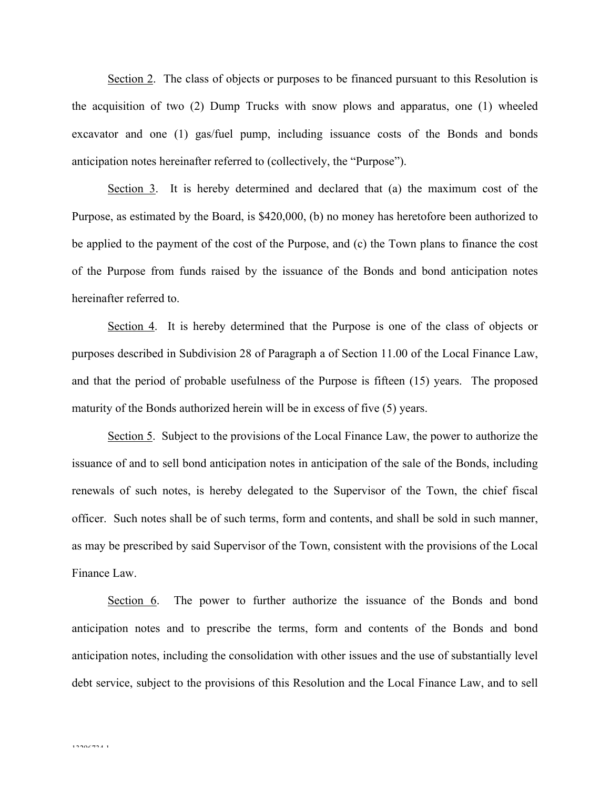Section 2. The class of objects or purposes to be financed pursuant to this Resolution is the acquisition of two (2) Dump Trucks with snow plows and apparatus, one (1) wheeled excavator and one (1) gas/fuel pump, including issuance costs of the Bonds and bonds anticipation notes hereinafter referred to (collectively, the "Purpose").

Section 3. It is hereby determined and declared that (a) the maximum cost of the Purpose, as estimated by the Board, is \$420,000, (b) no money has heretofore been authorized to be applied to the payment of the cost of the Purpose, and (c) the Town plans to finance the cost of the Purpose from funds raised by the issuance of the Bonds and bond anticipation notes hereinafter referred to.

Section 4. It is hereby determined that the Purpose is one of the class of objects or purposes described in Subdivision 28 of Paragraph a of Section 11.00 of the Local Finance Law, and that the period of probable usefulness of the Purpose is fifteen (15) years. The proposed maturity of the Bonds authorized herein will be in excess of five (5) years.

Section 5. Subject to the provisions of the Local Finance Law, the power to authorize the issuance of and to sell bond anticipation notes in anticipation of the sale of the Bonds, including renewals of such notes, is hereby delegated to the Supervisor of the Town, the chief fiscal officer. Such notes shall be of such terms, form and contents, and shall be sold in such manner, as may be prescribed by said Supervisor of the Town, consistent with the provisions of the Local Finance Law.

Section 6. The power to further authorize the issuance of the Bonds and bond anticipation notes and to prescribe the terms, form and contents of the Bonds and bond anticipation notes, including the consolidation with other issues and the use of substantially level debt service, subject to the provisions of this Resolution and the Local Finance Law, and to sell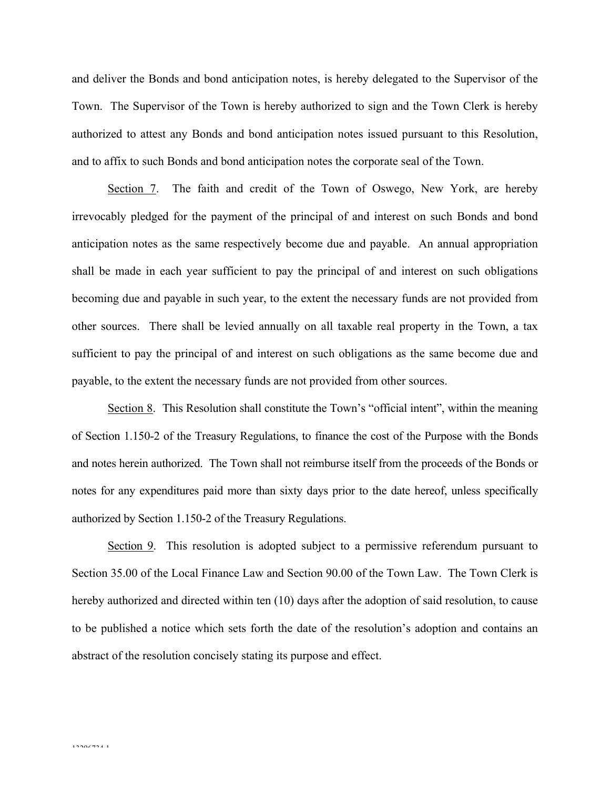and deliver the Bonds and bond anticipation notes, is hereby delegated to the Supervisor of the Town. The Supervisor of the Town is hereby authorized to sign and the Town Clerk is hereby authorized to attest any Bonds and bond anticipation notes issued pursuant to this Resolution, and to affix to such Bonds and bond anticipation notes the corporate seal of the Town.

Section 7. The faith and credit of the Town of Oswego, New York, are hereby irrevocably pledged for the payment of the principal of and interest on such Bonds and bond anticipation notes as the same respectively become due and payable. An annual appropriation shall be made in each year sufficient to pay the principal of and interest on such obligations becoming due and payable in such year, to the extent the necessary funds are not provided from other sources. There shall be levied annually on all taxable real property in the Town, a tax sufficient to pay the principal of and interest on such obligations as the same become due and payable, to the extent the necessary funds are not provided from other sources.

Section 8. This Resolution shall constitute the Town's "official intent", within the meaning of Section 1.150-2 of the Treasury Regulations, to finance the cost of the Purpose with the Bonds and notes herein authorized. The Town shall not reimburse itself from the proceeds of the Bonds or notes for any expenditures paid more than sixty days prior to the date hereof, unless specifically authorized by Section 1.150-2 of the Treasury Regulations.

Section 9. This resolution is adopted subject to a permissive referendum pursuant to Section 35.00 of the Local Finance Law and Section 90.00 of the Town Law. The Town Clerk is hereby authorized and directed within ten (10) days after the adoption of said resolution, to cause to be published a notice which sets forth the date of the resolution's adoption and contains an abstract of the resolution concisely stating its purpose and effect.